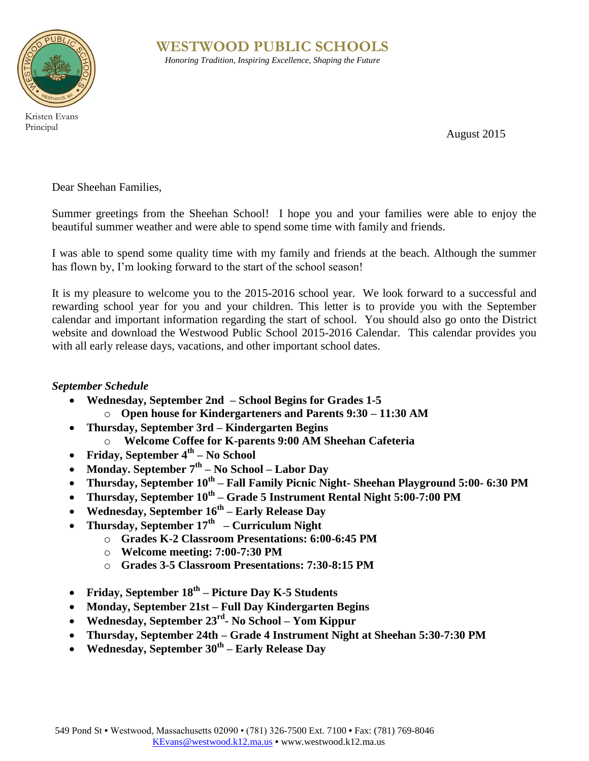

Principal

**WESTWOOD PUBLIC SCHOOLS** *Honoring Tradition, Inspiring Excellence, Shaping the Future*

August 2015

Dear Sheehan Families,

Summer greetings from the Sheehan School! I hope you and your families were able to enjoy the beautiful summer weather and were able to spend some time with family and friends.

I was able to spend some quality time with my family and friends at the beach. Although the summer has flown by, I'm looking forward to the start of the school season!

It is my pleasure to welcome you to the 2015-2016 school year. We look forward to a successful and rewarding school year for you and your children. This letter is to provide you with the September calendar and important information regarding the start of school. You should also go onto the District website and download the Westwood Public School 2015-2016 Calendar. This calendar provides you with all early release days, vacations, and other important school dates.

### *September Schedule*

- **Wednesday, September 2nd – School Begins for Grades 1-5** o **Open house for Kindergarteners and Parents 9:30 – 11:30 AM**
- **Thursday, September 3rd – Kindergarten Begins**
	- o **Welcome Coffee for K-parents 9:00 AM Sheehan Cafeteria**
- **Friday, September 4th – No School**
- **Monday. September 7th – No School – Labor Day**
- **Thursday, September 10th – Fall Family Picnic Night- Sheehan Playground 5:00- 6:30 PM**
- **Thursday, September 10th – Grade 5 Instrument Rental Night 5:00-7:00 PM**
- **Wednesday, September 16th – Early Release Day**
- **Thursday, September 17th – Curriculum Night**
	- o **Grades K-2 Classroom Presentations: 6:00-6:45 PM**
	- o **Welcome meeting: 7:00-7:30 PM**
	- o **Grades 3-5 Classroom Presentations: 7:30-8:15 PM**
- **Friday, September 18th – Picture Day K-5 Students**
- **Monday, September 21st – Full Day Kindergarten Begins**
- **Wednesday, September 23rd - No School – Yom Kippur**
- **Thursday, September 24th – Grade 4 Instrument Night at Sheehan 5:30-7:30 PM**
- **Wednesday, September 30th – Early Release Day**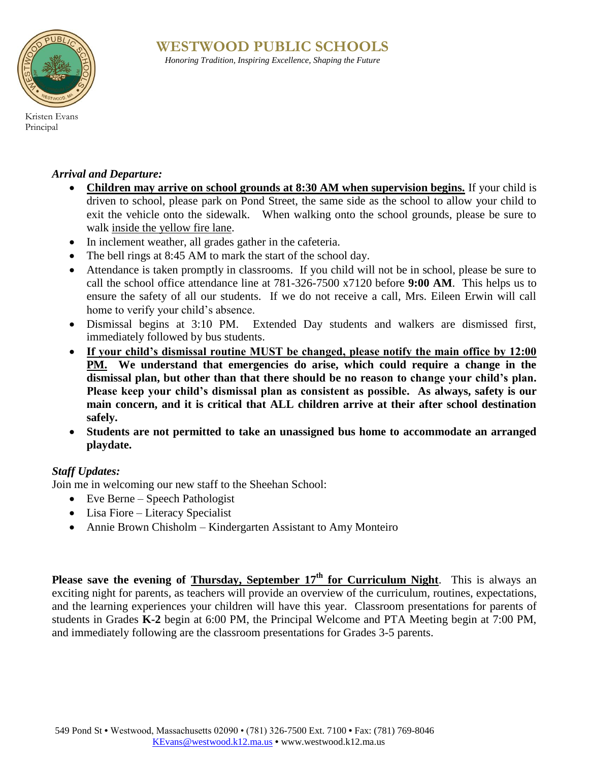# **WESTWOOD PUBLIC SCHOOLS**



*Honoring Tradition, Inspiring Excellence, Shaping the Future*

Kristen Evans Principal

## *Arrival and Departure:*

- **Children may arrive on school grounds at 8:30 AM when supervision begins.** If your child is driven to school, please park on Pond Street, the same side as the school to allow your child to exit the vehicle onto the sidewalk. When walking onto the school grounds, please be sure to walk inside the yellow fire lane.
- In inclement weather, all grades gather in the cafeteria.
- The bell rings at 8:45 AM to mark the start of the school day.
- Attendance is taken promptly in classrooms. If you child will not be in school, please be sure to call the school office attendance line at 781-326-7500 x7120 before **9:00 AM**. This helps us to ensure the safety of all our students. If we do not receive a call, Mrs. Eileen Erwin will call home to verify your child's absence.
- Dismissal begins at 3:10 PM. Extended Day students and walkers are dismissed first, immediately followed by bus students.
- **If your child's dismissal routine MUST be changed, please notify the main office by 12:00**  PM. We understand that emergencies do arise, which could require a change in the **dismissal plan, but other than that there should be no reason to change your child's plan. Please keep your child's dismissal plan as consistent as possible. As always, safety is our main concern, and it is critical that ALL children arrive at their after school destination safely.**
- **Students are not permitted to take an unassigned bus home to accommodate an arranged playdate.**

#### *Staff Updates:*

Join me in welcoming our new staff to the Sheehan School:

- Eve Berne Speech Pathologist
- Lisa Fiore Literacy Specialist
- Annie Brown Chisholm Kindergarten Assistant to Amy Monteiro

**Please save the evening of Thursday, September 17<sup>th</sup> for Curriculum Night**. This is always an exciting night for parents, as teachers will provide an overview of the curriculum, routines, expectations, and the learning experiences your children will have this year. Classroom presentations for parents of students in Grades **K-2** begin at 6:00 PM, the Principal Welcome and PTA Meeting begin at 7:00 PM, and immediately following are the classroom presentations for Grades 3-5 parents.